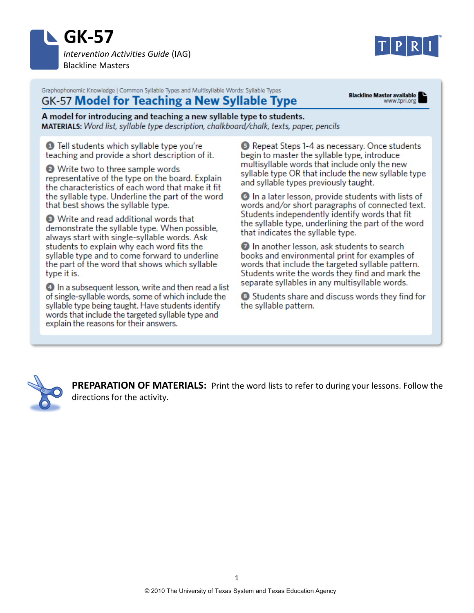



#### Graphophonemic Knowledge | Common Syllable Types and Multisyllable Words: Syllable Types GK-57 Model for Teaching a New Syllable Type

**Blackline Master available** www.tpri.org

A model for introducing and teaching a new syllable type to students. MATERIALS: Word list, syllable type description, chalkboard/chalk, texts, paper, pencils

**1** Tell students which syllable type you're teaching and provide a short description of it.

Write two to three sample words representative of the type on the board. Explain the characteristics of each word that make it fit the syllable type. Underline the part of the word that best shows the syllable type.

Write and read additional words that demonstrate the syllable type. When possible, always start with single-syllable words. Ask students to explain why each word fits the syllable type and to come forward to underline the part of the word that shows which syllable tvpe it is.

4 In a subsequent lesson, write and then read a list of single-syllable words, some of which include the syllable type being taught. Have students identify words that include the targeted syllable type and explain the reasons for their answers.

**B** Repeat Steps 1-4 as necessary. Once students begin to master the syllable type, introduce multisyllable words that include only the new syllable type OR that include the new syllable type and syllable types previously taught.

**O** In a later lesson, provide students with lists of words and/or short paragraphs of connected text. Students independently identify words that fit the syllable type, underlining the part of the word that indicates the syllable type.

**2** In another lesson, ask students to search books and environmental print for examples of words that include the targeted syllable pattern. Students write the words they find and mark the separate syllables in any multisyllable words.

**8** Students share and discuss words they find for the syllable pattern.



**PREPARATION OF MATERIALS:** Print the word lists to refer to during your lessons. Follow the directions for the activity.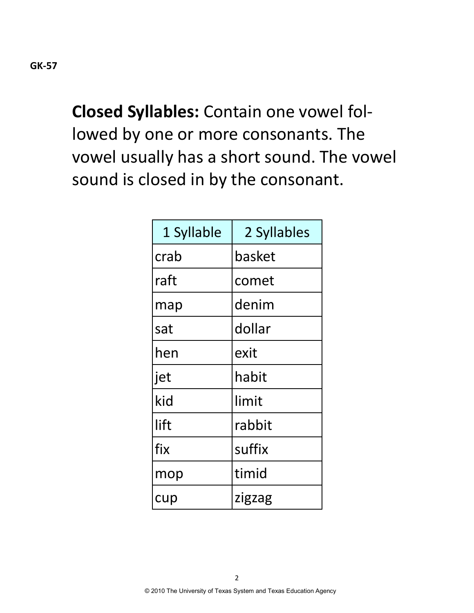**Closed Syllables:** Contain one vowel followed by one or more consonants. The vowel usually has a short sound. The vowel sound is closed in by the consonant.

| 1 Syllable | 2 Syllables |
|------------|-------------|
| crab       | basket      |
| raft       | comet       |
| map        | denim       |
| sat        | dollar      |
| hen        | exit        |
| jet        | habit       |
| kid        | limit       |
| lift       | rabbit      |
| fix        | suffix      |
| mop        | timid       |
| cup        | zigzag      |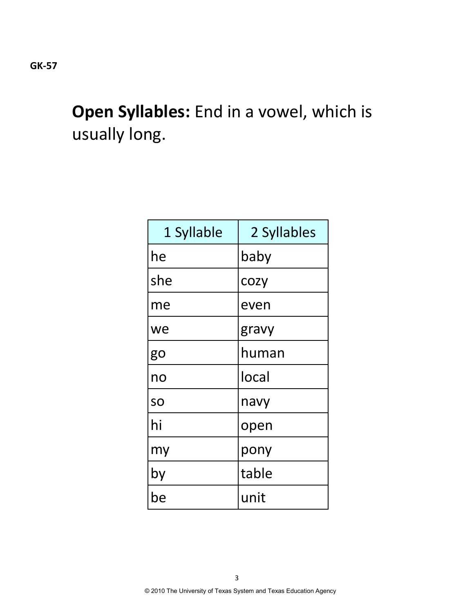## **Open Syllables:** End in a vowel, which is usually long.

| 1 Syllable | 2 Syllables |
|------------|-------------|
| he         | baby        |
| she        | COZY        |
| me         | even        |
| we         | gravy       |
| go         | human       |
| no         | local       |
| SO         | navy        |
| hi         | open        |
| my         | pony        |
| by         | table       |
| be         | unit        |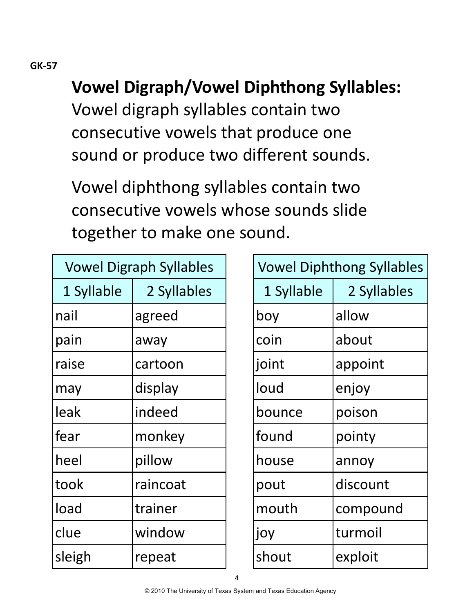#### **GK-57**

## **Vowel Digraph/Vowel Diphthong Syllables:**

Vowel digraph syllables contain two consecutive vowels that produce one sound or produce two different sounds.

Vowel diphthong syllables contain two consecutive vowels whose sounds slide together to make one sound.

| <b>Vowel Digraph Syllables</b> |             |  |
|--------------------------------|-------------|--|
| 1 Syllable                     | 2 Syllables |  |
| nail                           | agreed      |  |
| pain                           | away        |  |
| raise                          | cartoon     |  |
| may                            | display     |  |
| leak                           | indeed      |  |
| fear                           | monkey      |  |
| heel                           | pillow      |  |
| took                           | raincoat    |  |
| load                           | trainer     |  |
| clue                           | window      |  |
| sleigh                         | repeat      |  |

| <b>Vowel Diphthong Syllables</b> |             |  |
|----------------------------------|-------------|--|
| 1 Syllable                       | 2 Syllables |  |
| boy                              | allow       |  |
| coin                             | about       |  |
| joint                            | appoint     |  |
| loud                             | enjoy       |  |
| bounce                           | poison      |  |
| found                            | pointy      |  |
| house                            | annoy       |  |
| pout                             | discount    |  |
| mouth                            | compound    |  |
| joy                              | turmoil     |  |
| shout                            | exploit     |  |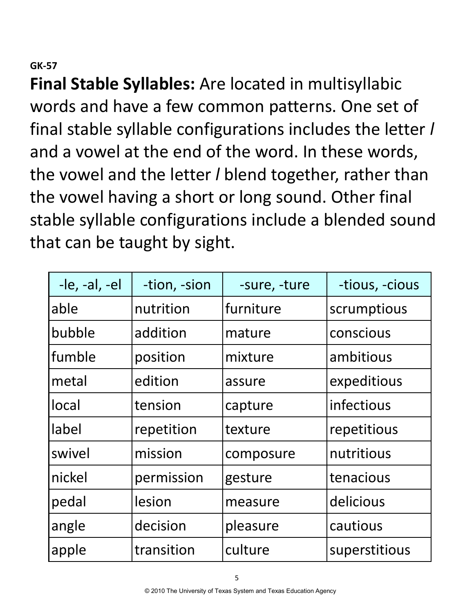#### **GK-57**

**Final Stable Syllables:** Are located in multisyllabic words and have a few common patterns. One set of final stable syllable configurations includes the letter *l*  and a vowel at the end of the word. In these words, the vowel and the letter *l* blend together, rather than the vowel having a short or long sound. Other final stable syllable configurations include a blended sound that can be taught by sight.

| $-le, -al, -el$ | -tion, -sion | -sure, -ture | -tious, -cious |
|-----------------|--------------|--------------|----------------|
| able            | nutrition    | furniture    | scrumptious    |
| bubble          | addition     | mature       | conscious      |
| fumble          | position     | mixture      | ambitious      |
| metal           | edition      | assure       | expeditious    |
| local           | tension      | capture      | infectious     |
| label           | repetition   | texture      | repetitious    |
| swivel          | mission      | composure    | nutritious     |
| nickel          | permission   | gesture      | tenacious      |
| pedal           | lesion       | measure      | delicious      |
| angle           | decision     | pleasure     | cautious       |
| apple           | transition   | culture      | superstitious  |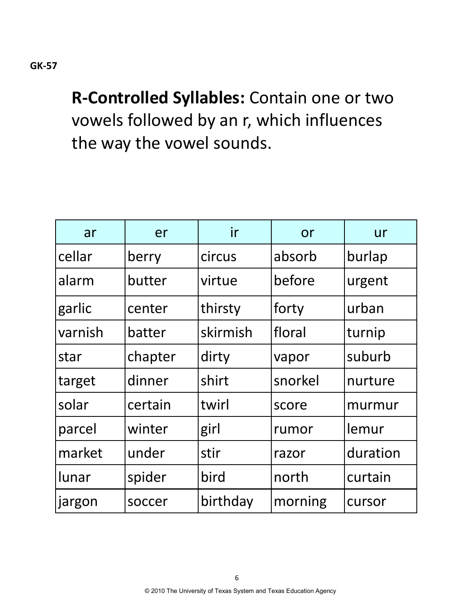# **R-Controlled Syllables:** Contain one or two vowels followed by an r, which influences the way the vowel sounds.

| ar      | er      | ir       | or      | ur       |
|---------|---------|----------|---------|----------|
| cellar  | berry   | circus   | absorb  | burlap   |
| alarm   | butter  | virtue   | before  | urgent   |
| garlic  | center  | thirsty  | forty   | urban    |
| varnish | batter  | skirmish | floral  | turnip   |
| star    | chapter | dirty    | vapor   | suburb   |
| target  | dinner  | shirt    | snorkel | nurture  |
| solar   | certain | twirl    | score   | murmur   |
| parcel  | winter  | girl     | rumor   | lemur    |
| market  | under   | stir     | razor   | duration |
| lunar   | spider  | bird     | north   | curtain  |
| jargon  | soccer  | birthday | morning | cursor   |

6